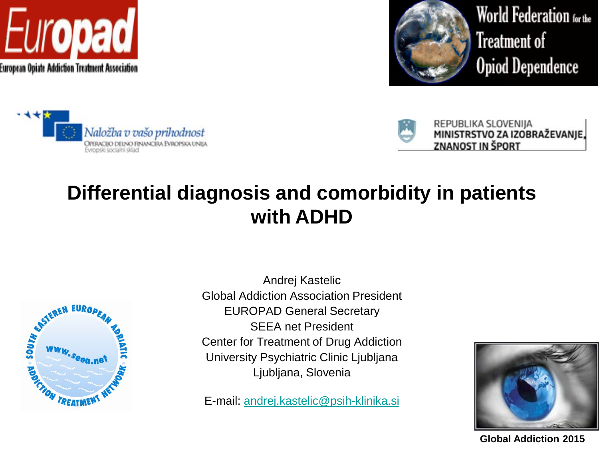



World Federation for the Treatment of **Opiod Dependence** 





REPUBLIKA SLOVENIJA MINISTRSTVO ZA IZOBRAŽEVANJE, **ZNANOST IN ŠPORT** 

### **Differential diagnosis and comorbidity in patients with ADHD**



Andrej Kastelic Global Addiction Association President EUROPAD General Secretary SEEA net President Center for Treatment of Drug Addiction University Psychiatric Clinic Ljubljana Ljubljana, Slovenia

E-mail: [andrej.kastelic@psih-klinika.si](mailto:andrej.kastelic@psih-klinika.si)



**Global Addiction 2015**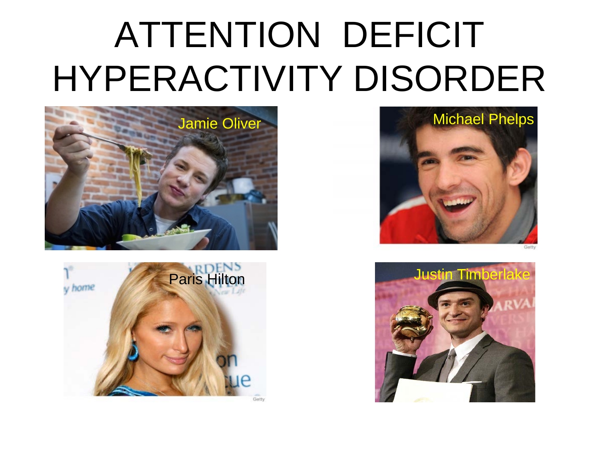# ATTENTION DEFICIT HYPERACTIVITY DISORDER





Jamie Oliver **Michael Phelps** 

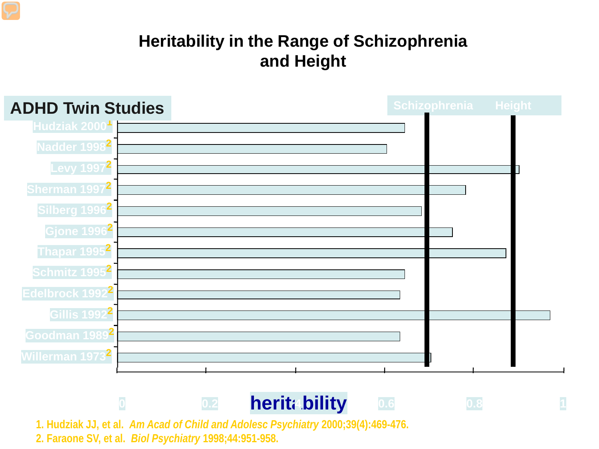#### **Heritability in the Range of Schizophrenia and Height**

| <b>ADHD Twin Studies</b>      | Schizophrenia Height |
|-------------------------------|----------------------|
| Hudziak 2000 <sup>1</sup>     |                      |
| Nadder 1998 <sup>2</sup>      |                      |
| Levy 1997 <sup>2</sup>        |                      |
| Sherman 1997 <sup>2</sup>     |                      |
| Silberg 1996 <sup>2</sup>     |                      |
| <b>Gjone 1996<sup>2</sup></b> |                      |
| Thapar 1995 <sup>2</sup>      |                      |
| Schmitz 1995 <sup>2</sup>     |                      |
| Edelbrock 1992 <sup>2</sup>   |                      |
| Gillis 1992 <sup>2</sup>      |                      |
| Goodman 1989 <sup>2</sup>     |                      |
| Willerman 1973 <sup>2</sup>   |                      |
|                               |                      |

**<sup>0</sup> 0.2 heritability <sup>4</sup> 0.6 0.8 <sup>1</sup>**

**1. Hudziak JJ, et al.** *Am Acad of Child and Adolesc Psychiatry* **2000;39(4):469-476. 2. Faraone SV, et al.** *Biol Psychiatry* **1998;44:951-958.**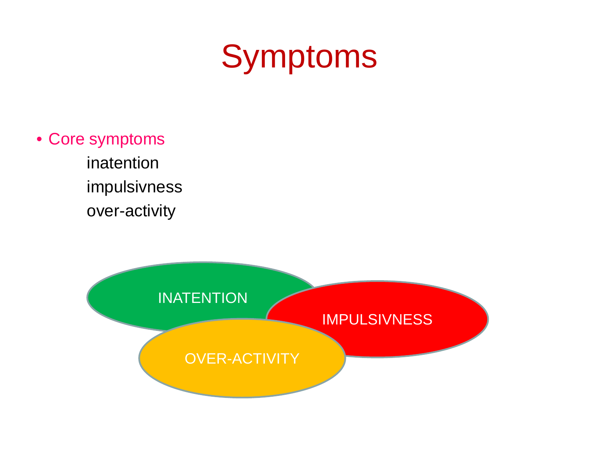# Symptoms

- Core symptoms
	- inatention impulsivness over-activity

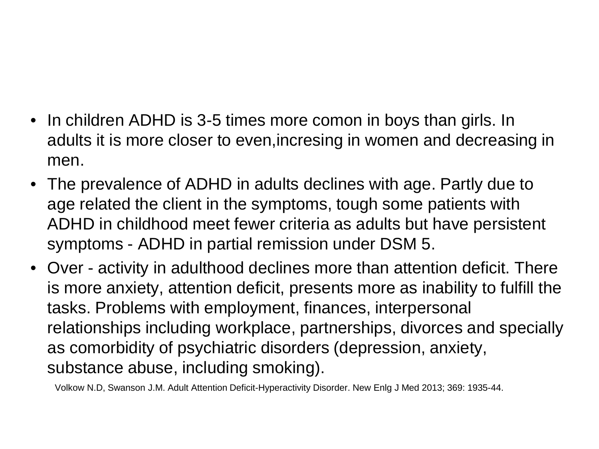- In children ADHD is 3-5 times more comon in boys than girls. In adults it is more closer to even,incresing in women and decreasing in men.
- The prevalence of ADHD in adults declines with age. Partly due to age related the client in the symptoms, tough some patients with ADHD in childhood meet fewer criteria as adults but have persistent symptoms - ADHD in partial remission under DSM 5.
- Over activity in adulthood declines more than attention deficit. There is more anxiety, attention deficit, presents more as inability to fulfill the tasks. Problems with employment, finances, interpersonal relationships including workplace, partnerships, divorces and specially as comorbidity of psychiatric disorders (depression, anxiety, substance abuse, including smoking).

Volkow N.D, Swanson J.M. Adult Attention Deficit-Hyperactivity Disorder. New Enlg J Med 2013; 369: 1935-44.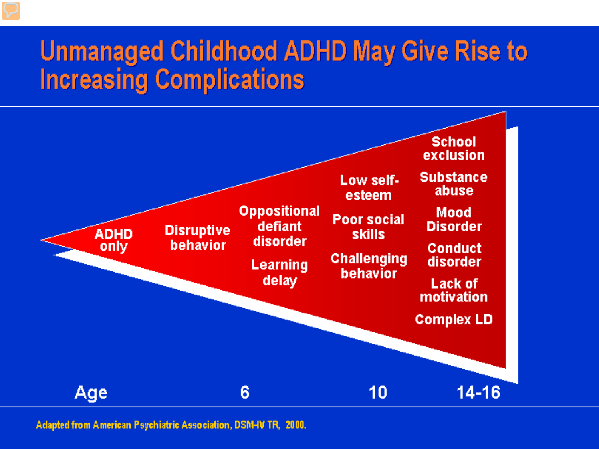# **Unmanaged Childhood ADHD May Give Rise to Increasing Complications**



Adapted from American Psychiatric Association, DSM-IV TR, 2000.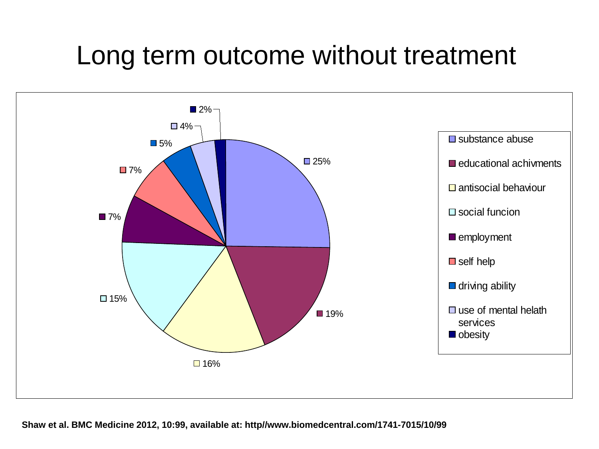# Long term outcome without treatment

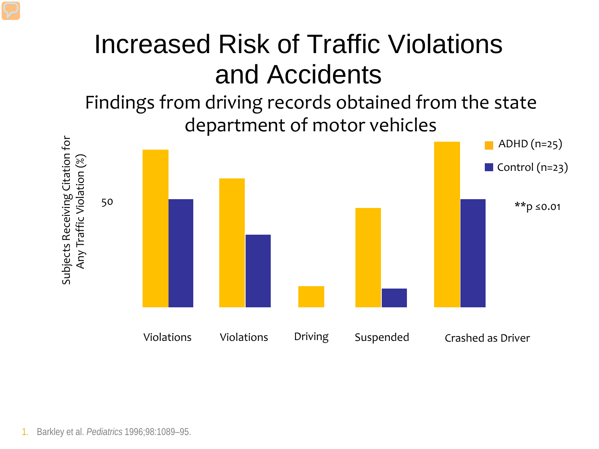# Increased Risk of Traffic Violations and Accidents

Findings from driving records obtained from the state department of motor vehicles

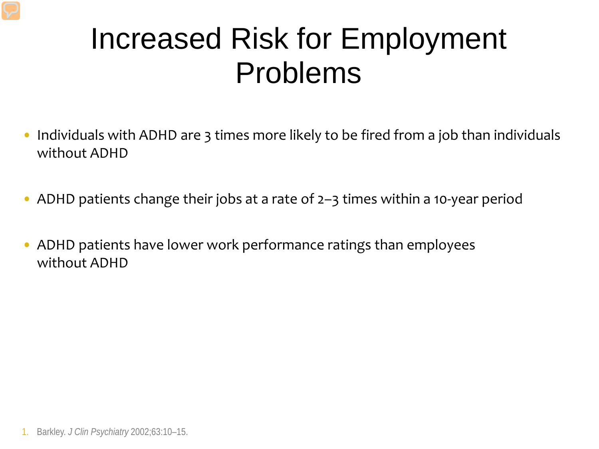# Increased Risk for Employment Problems

- Individuals with ADHD are 3 times more likely to be fired from a job than individuals without ADHD
- ADHD patients change their jobs at a rate of 2–3 times within a 10-year period
- ADHD patients have lower work performance ratings than employees without ADHD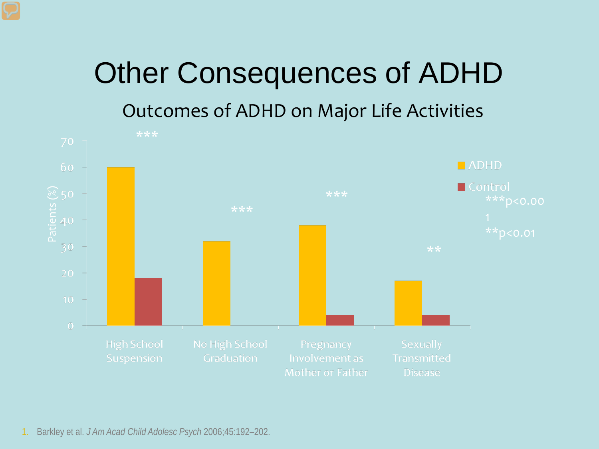# Other Consequences of ADHD

### Outcomes of ADHD on Major Life Activities



1. Barkley et al. *J Am Acad Child Adolesc Psych* 2006;45:192–202.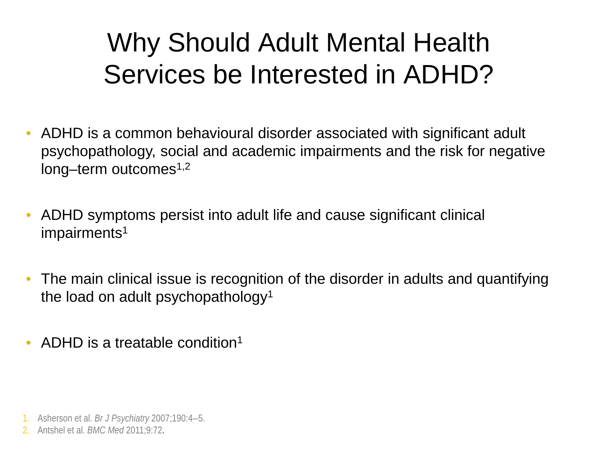# Why Should Adult Mental Health Services be Interested in ADHD?

- ADHD is a common behavioural disorder associated with significant adult psychopathology, social and academic impairments and the risk for negative  $long-term$  outcomes<sup>1,2</sup>
- ADHD symptoms persist into adult life and cause significant clinical impairments<sup>1</sup>
- The main clinical issue is recognition of the disorder in adults and quantifying the load on adult psychopathology<sup>1</sup>
- ADHD is a treatable condition<sup>1</sup>

<sup>1.</sup> Asherson et al. *Br J Psychiatry* 2007;190:4–5.

<sup>2.</sup> Antshel et al. *BMC Med* 2011;9:72**.**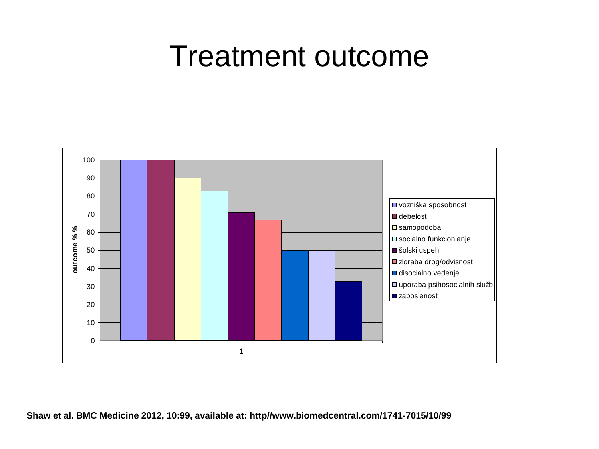# Treatment outcome

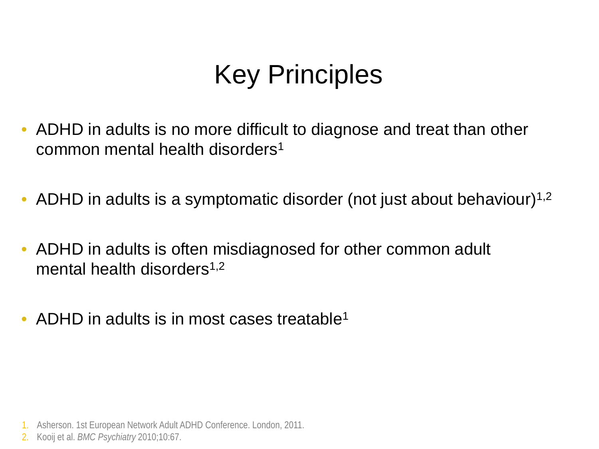# Key Principles

- ADHD in adults is no more difficult to diagnose and treat than other common mental health disorders1
- ADHD in adults is a symptomatic disorder (not just about behaviour)<sup>1,2</sup>
- ADHD in adults is often misdiagnosed for other common adult mental health disorders $1,2$
- ADHD in adults is in most cases treatable<sup>1</sup>

<sup>1.</sup> Asherson. 1st European Network Adult ADHD Conference. London, 2011.

<sup>2.</sup> Kooij et al. *BMC Psychiatry* 2010;10:67.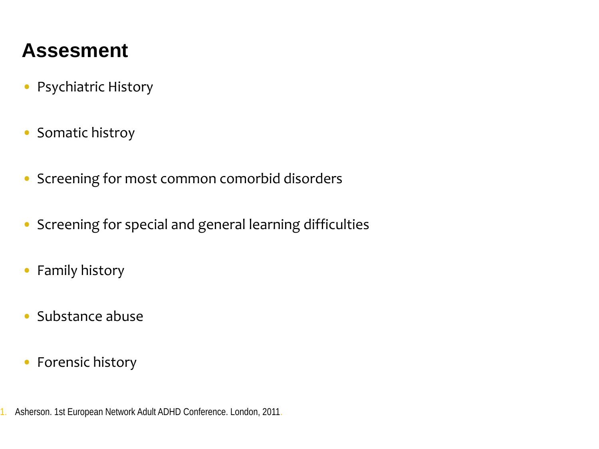### **Assesment**

- Psychiatric History
- Somatic histroy
- Screening for most common comorbid disorders
- Screening for special and general learning difficulties
- Family history
- Substance abuse
- Forensic history

1. Asherson. 1st European Network Adult ADHD Conference. London, 2011.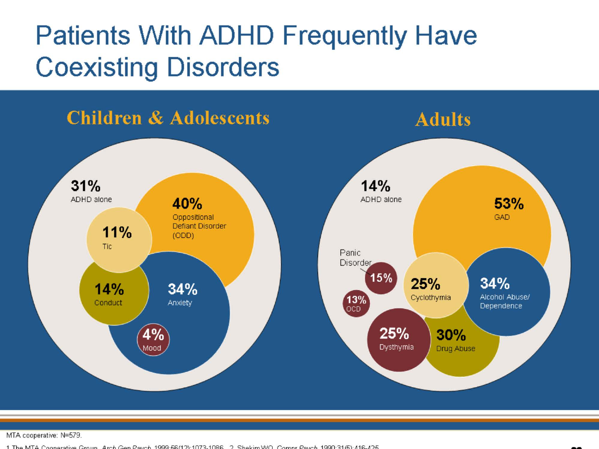# **Patients With ADHD Frequently Have**



MTA cooperative: N=579.

 $416-425$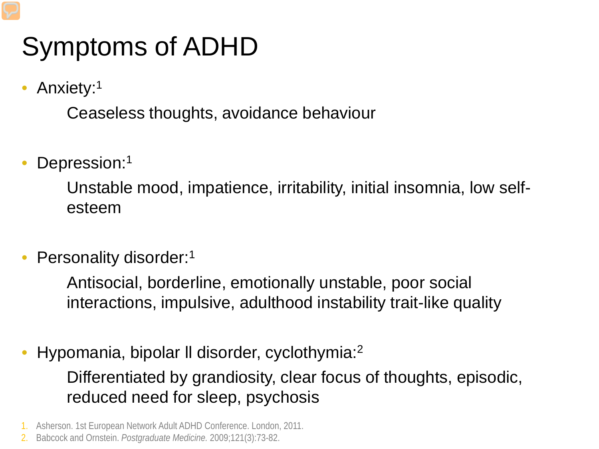# Symptoms of ADHD

Anxiety:<sup>1</sup>

– Ceaseless thoughts, avoidance behaviour

Depression:<sup>1</sup>

– Unstable mood, impatience, irritability, initial insomnia, low selfesteem

Personality disorder:<sup>1</sup>

– Antisocial, borderline, emotionally unstable, poor social interactions, impulsive, adulthood instability trait-like quality

- Hypomania, bipolar ll disorder, cyclothymia:2 – Differentiated by grandiosity, clear focus of thoughts, episodic, reduced need for sleep, psychosis
- 1. Asherson. 1st European Network Adult ADHD Conference. London, 2011.
- 2. Babcock and Ornstein. *Postgraduate Medicine.* 2009;121(3):73-82.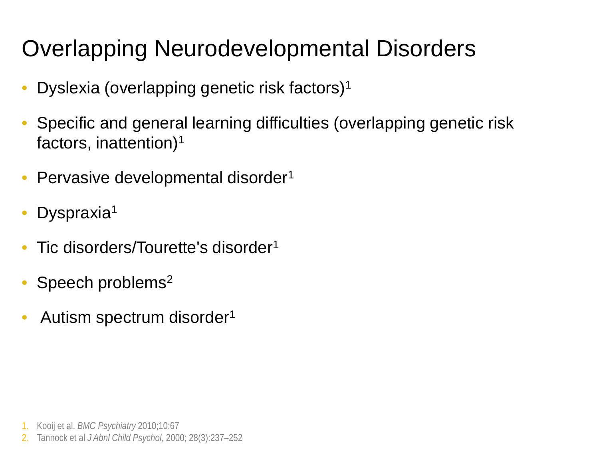# Overlapping Neurodevelopmental Disorders

- Dyslexia (overlapping genetic risk factors)1
- Specific and general learning difficulties (overlapping genetic risk factors, inattention)1
- Pervasive developmental disorder<sup>1</sup>
- Dyspraxia<sup>1</sup>
- Tic disorders/Tourette's disorder1
- Speech problems<sup>2</sup>
- Autism spectrum disorder1

1. Kooij et al. *BMC Psychiatry* 2010;10:67

2. Tannock et al *J Abnl Child Psychol*, 2000; 28(3):237–252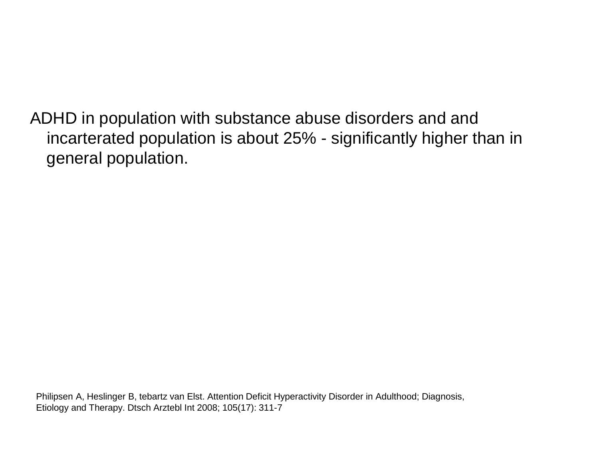ADHD in population with substance abuse disorders and and incarterated population is about 25% - significantly higher than in general population.

Philipsen A, Heslinger B, tebartz van Elst. Attention Deficit Hyperactivity Disorder in Adulthood; Diagnosis, Etiology and Therapy. Dtsch Arztebl Int 2008; 105(17): 311-7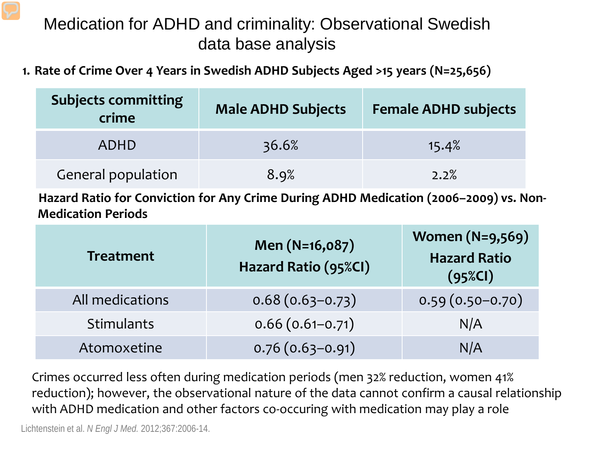#### Medication for ADHD and criminality: Observational Swedish data base analysis

**1. Rate of Crime Over 4 Years in Swedish ADHD Subjects Aged >15 years (N=25,656)**

| <b>Subjects committing</b><br>crime | <b>Male ADHD Subjects</b> | <b>Female ADHD subjects</b> |
|-------------------------------------|---------------------------|-----------------------------|
| <b>ADHD</b>                         | 36.6%                     | 15.4%                       |
| General population                  | 8.9%                      | 2.2%                        |

Hazard Ratio for Conviction for Any Crime During ADHD Medication (2006–2009) vs. Non-**Medication Periods**

| <b>Treatment</b> | Men (N=16,087)<br>Hazard Ratio (95%CI) | <b>Women (N=9,569)</b><br><b>Hazard Ratio</b><br>$(95\%Cl)$ |
|------------------|----------------------------------------|-------------------------------------------------------------|
| All medications  | $0.68(0.63-0.73)$                      | $0.59(0.50-0.70)$                                           |
| Stimulants       | $0.66(0.61 - 0.71)$                    | N/A                                                         |
| Atomoxetine      | $0.76(0.63 - 0.91)$                    | N/A                                                         |

Crimes occurred less often during medication periods (men 32% reduction, women 41% reduction); however, the observational nature of the data cannot confirm a causal relationship with ADHD medication and other factors co-occuring with medication may play a role

Lichtenstein et al. *N Engl J Med.* 2012;367:2006-14.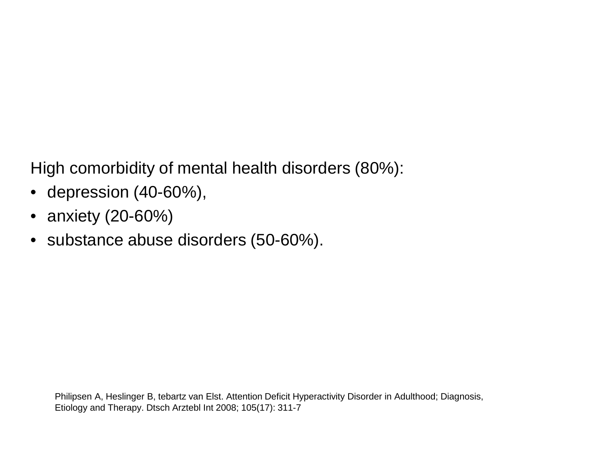High comorbidity of mental health disorders (80%):

- depression (40-60%),
- anxiety (20-60%)
- substance abuse disorders (50-60%).

Philipsen A, Heslinger B, tebartz van Elst. Attention Deficit Hyperactivity Disorder in Adulthood; Diagnosis, Etiology and Therapy. Dtsch Arztebl Int 2008; 105(17): 311-7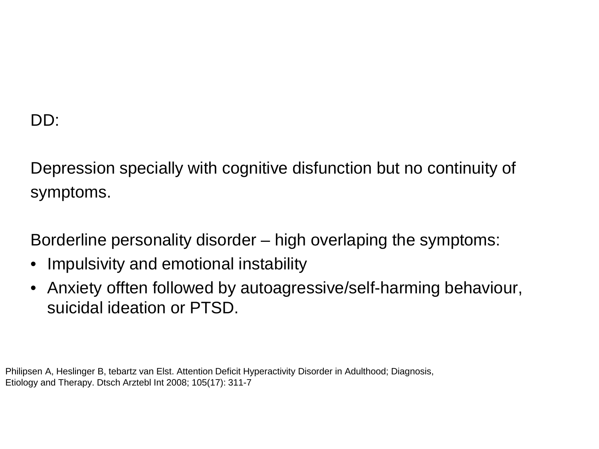#### DD:

Depression specially with cognitive disfunction but no continuity of symptoms.

Borderline personality disorder – high overlaping the symptoms:

- Impulsivity and emotional instability
- Anxiety offten followed by autoagressive/self-harming behaviour, suicidal ideation or PTSD.

Philipsen A, Heslinger B, tebartz van Elst. Attention Deficit Hyperactivity Disorder in Adulthood; Diagnosis, Etiology and Therapy. Dtsch Arztebl Int 2008; 105(17): 311-7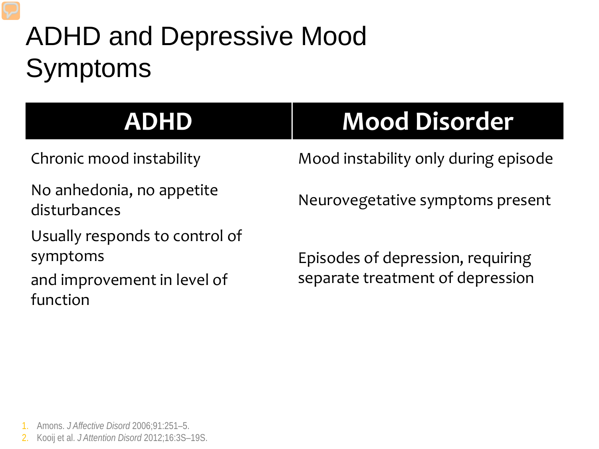# ADHD and Depressive Mood Symptoms

No anhedonia, no appetite disturbances<br>disturbances

Usually responds to control of symptoms

and improvement in level of function

# **ADHD Mood Disorder**

Chronic mood instability Mood instability only during episode

Episodes of depression, requiring separate treatment of depression

1. Amons. *J Affective Disord* 2006;91:251–5.

2. Kooij et al. *J Attention Disord* 2012;16:3S–19S.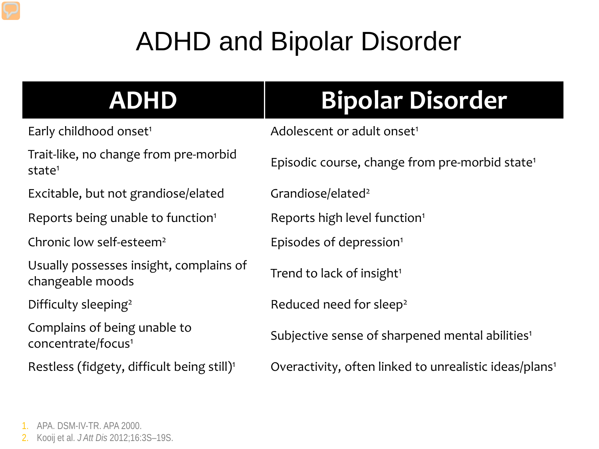# ADHD and Bipolar Disorder

Trait-like, no change from pre-morbid

Excitable, but not grandiose/elated Grandiose/elated<sup>2</sup>

Reports being unable to function<sup>1</sup> Reports high level function<sup>1</sup>

Chronic low self-esteem<sup>2</sup> Episodes of depression<sup>1</sup>

Usually possesses insight, complains of changeable moods thangeable moods

Complains of being unable to

# **ADHD Bipolar Disorder**

Early childhood onset<sup>1</sup> Adolescent or adult onset<sup>1</sup>

state<sup>1</sup> Episodic course, change from pre-morbid state<sup>1</sup> Episodic course, change from pre-morbid state<sup>1</sup>

Difficulty sleeping<sup>2</sup> Reduced need for sleep<sup>2</sup>

complains of being anable to<br>Subjective sense of sharpened mental abilities<sup>1</sup><br>Concentrate/focus<sup>1</sup>

Restless (fidgety, difficult being still)<sup>1</sup> Overactivity, often linked to unrealistic ideas/plans<sup>1</sup>

- 1. APA. DSM-IV-TR. APA 2000.
- 2. Kooij et al. *J Att Dis* 2012;16:3S–19S.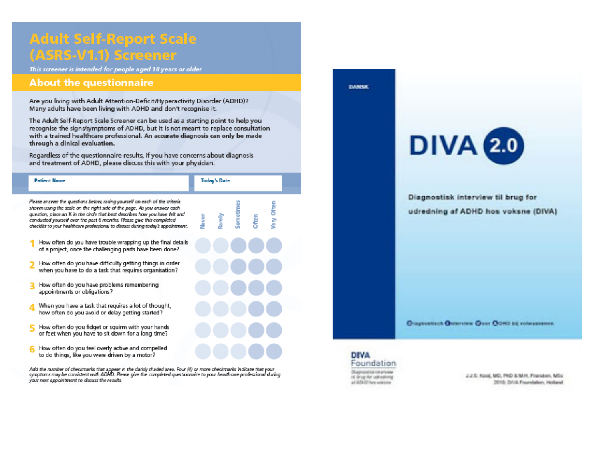#### **Adult Self-Report Scale** (ASRS-V1.1) Screener

This screener is intended for people aged 18 years or older

#### **About the questionnaire**

Are you living with Adult Attention-Deficit/Hyperactivity Disorder (ADHD)? Many adults have been living with ADHD and don't recognise it.

The Adult Self-Report Scale Screener can be used as a starting point to help you recognise the signs/symptoms of ADHD, but it is not meant to replace consultation with a trained healthcare professional. An accurate diagnosis can only be made through a dinical evaluation.

Regardless of the questionnaire results, if you have concerns about diagnosis and treatment of ADHD, please discuss this with your physician.

| <b>Patient Name</b>                                                                                                                                                                                                                                                                                                                                                                                |      | <b>Today's Date</b> |         |             |                      |  |
|----------------------------------------------------------------------------------------------------------------------------------------------------------------------------------------------------------------------------------------------------------------------------------------------------------------------------------------------------------------------------------------------------|------|---------------------|---------|-------------|----------------------|--|
| Please answer the questions below, rating yourself on each of the criteria<br>shown using the scale on the right side of the page. As you answer each<br>question, place an X in the circle that best describes how you have felt and<br>conducted yourself over the past 6 months. Please give this completed<br>checklist to your healthcare professional to discuss during today's appointment. | ever | arely               | iometim | <b>Then</b> | <b>Chien</b><br>Кiey |  |
| How often do you have trouble wrapping up the final details<br>of a project, once the challenging parts have been done?                                                                                                                                                                                                                                                                            |      |                     |         |             |                      |  |
| How often do you have difficulty getting things in order<br>when you have to do a task that requires organisation?                                                                                                                                                                                                                                                                                 |      |                     |         |             |                      |  |
| How often do you have problems remembering<br>appointments or obligations?                                                                                                                                                                                                                                                                                                                         |      |                     |         |             |                      |  |
| When you have a task that requires a lot of thought,<br>how often do you avoid or delay getting started?                                                                                                                                                                                                                                                                                           |      |                     |         |             |                      |  |
| How often do you fidget or squirm with your hands<br>or feet when you have to sit down for a long time?                                                                                                                                                                                                                                                                                            |      |                     |         |             |                      |  |
| How often do you feel overly active and compelled<br>to do things, like vou were driven by a motor?                                                                                                                                                                                                                                                                                                |      |                     |         |             |                      |  |

Add the number of checkmarks that appear in the darkly shaded area. Four (4) or more checkmarks indicate that your<br>symptoms may be consistent with ADHD. Please give the completed questionnaire to your healthcare profession your next appointment to discuss the results.





2.2.5. Kool, MO, PhO & M.H. Francisco, MSc. 2010, Drivk Foundation, Holland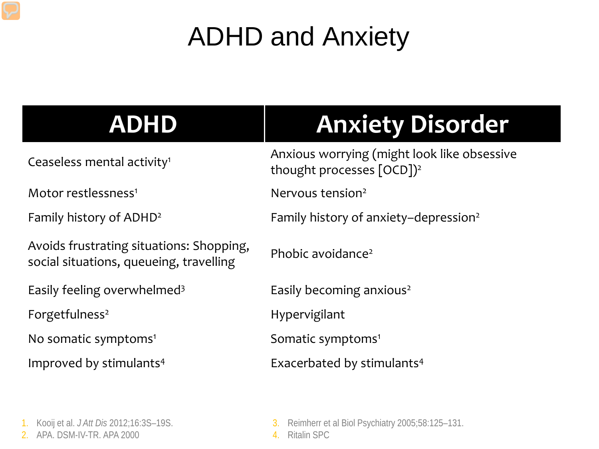# ADHD and Anxiety

| <b>ADHD</b>                                                                         | <b>Anxiety Disorder</b>                                                              |
|-------------------------------------------------------------------------------------|--------------------------------------------------------------------------------------|
| Ceaseless mental activity <sup>1</sup>                                              | Anxious worrying (might look like obsessive<br>thought processes [OCD]) <sup>2</sup> |
| Motor restlessness <sup>1</sup>                                                     | Nervous tension <sup>2</sup>                                                         |
| Family history of ADHD <sup>2</sup>                                                 | Family history of anxiety-depression <sup>2</sup>                                    |
| Avoids frustrating situations: Shopping,<br>social situations, queueing, travelling | Phobic avoidance <sup>2</sup>                                                        |
| Easily feeling overwhelmed <sup>3</sup>                                             | Easily becoming anxious <sup>2</sup>                                                 |
| Forgetfulness <sup>2</sup>                                                          | Hypervigilant                                                                        |
| No somatic symptoms <sup>1</sup>                                                    | Somatic symptoms <sup>1</sup>                                                        |
| Improved by stimulants <sup>4</sup>                                                 | Exacerbated by stimulants <sup>4</sup>                                               |
|                                                                                     |                                                                                      |
|                                                                                     |                                                                                      |

<sup>1.</sup> Kooij et al. *J Att Dis* 2012;16:3S–19S.

<sup>2.</sup> APA. DSM-IV-TR. APA 2000

<sup>3.</sup> Reimherr et al Biol Psychiatry 2005;58:125–131.

<sup>4.</sup> Ritalin SPC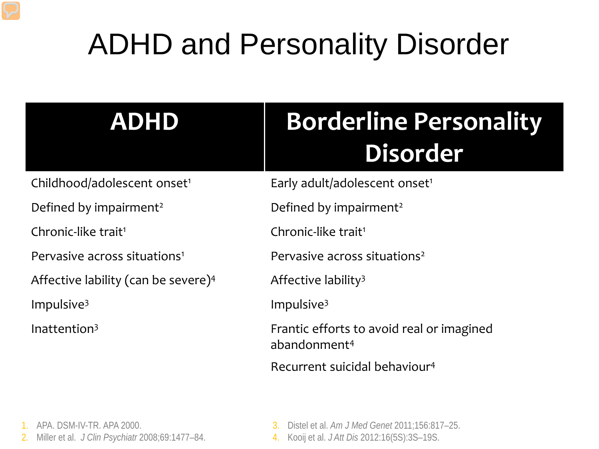# ADHD and Personality Disorder

| <b>ADHD</b>                                     | <b>Borderline Personality</b><br>Disorder                             |
|-------------------------------------------------|-----------------------------------------------------------------------|
| Childhood/adolescent onset <sup>1</sup>         | Early adult/adolescent onset <sup>1</sup>                             |
| Defined by impairment <sup>2</sup>              | Defined by impairment <sup>2</sup>                                    |
| Chronic-like trait <sup>1</sup>                 | Chronic-like trait <sup>1</sup>                                       |
| Pervasive across situations <sup>1</sup>        | Pervasive across situations <sup>2</sup>                              |
| Affective lability (can be severe) <sup>4</sup> | Affective lability <sup>3</sup>                                       |
| Impulsive $3$                                   | Impulsive $3$                                                         |
| Inattention $3$                                 | Frantic efforts to avoid real or imagined<br>abandonment <sup>4</sup> |
|                                                 | Recurrent suicidal behaviour <sup>4</sup>                             |

- 1. APA. DSM-IV-TR. APA 2000.
- 2. Miller et al. *J Clin Psychiatr* 2008;69:1477–84.
- 3. Distel et al. *Am J Med Genet* 2011;156:817–25.
- 4. Kooij et al. *J Att Dis* 2012:16(5S):3S–19S.